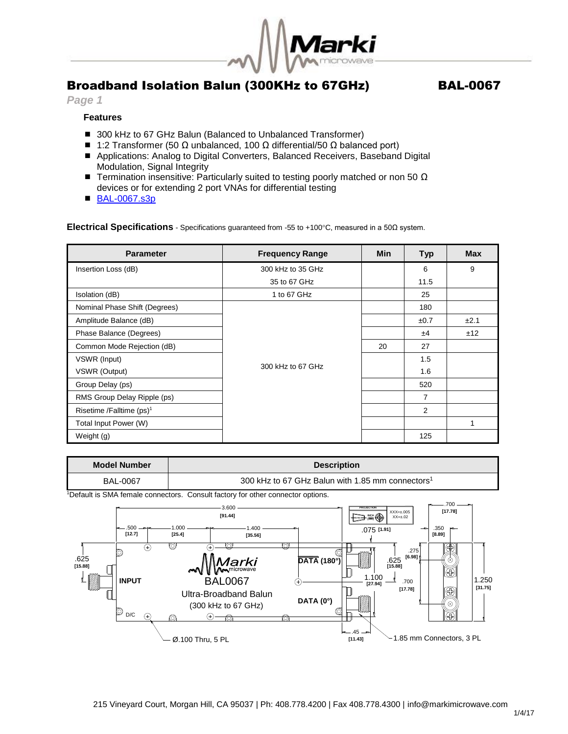

## Broadband Isolation Balun (300KHz to 67GHz) BAL-0067

#### *Page 1*

### **Features**

- 300 kHz to 67 GHz Balun (Balanced to Unbalanced Transformer)
- $\blacksquare$  1:2 Transformer (50 Ω unbalanced, 100 Ω differential/50 Ω balanced port)
- Applications: Analog to Digital Converters, Balanced Receivers, Baseband Digital Modulation, Signal Integrity
- **■** Termination insensitive: Particularly suited to testing poorly matched or non 50  $\Omega$ devices or for extending 2 port VNAs for differential testing
- [BAL-0067.s3p](http://www.markimicrowave.com/assets/data/BAL-0067.zip)

**Electrical Specifications** - Specifications guaranteed from -55 to +100°C, measured in a 50Ω system.

| <b>Parameter</b>                     | <b>Frequency Range</b> | <b>Min</b> | <b>Typ</b> | <b>Max</b> |
|--------------------------------------|------------------------|------------|------------|------------|
| Insertion Loss (dB)                  | 300 kHz to 35 GHz      |            | 6          | 9          |
|                                      | 35 to 67 GHz           |            | 11.5       |            |
| Isolation (dB)                       | 1 to 67 GHz            |            | 25         |            |
| Nominal Phase Shift (Degrees)        |                        |            | 180        |            |
| Amplitude Balance (dB)               |                        |            | ±0.7       | ±2.1       |
| Phase Balance (Degrees)              | 300 kHz to 67 GHz      |            | ±4         | ±12        |
| Common Mode Rejection (dB)           |                        | 20         | 27         |            |
| VSWR (Input)                         |                        |            | 1.5        |            |
| VSWR (Output)                        |                        |            | 1.6        |            |
| Group Delay (ps)                     |                        |            | 520        |            |
| RMS Group Delay Ripple (ps)          |                        |            | 7          |            |
| Risetime /Falltime (ps) <sup>1</sup> |                        |            | 2          |            |
| Total Input Power (W)                |                        |            |            | 1          |
| Weight (g)                           |                        |            | 125        |            |

| <b>Model Number</b>                                                                                      | <b>Description</b>                                                                                                                                                    |                                                                                                                                                                                                                                                                                                                                         |  |  |  |
|----------------------------------------------------------------------------------------------------------|-----------------------------------------------------------------------------------------------------------------------------------------------------------------------|-----------------------------------------------------------------------------------------------------------------------------------------------------------------------------------------------------------------------------------------------------------------------------------------------------------------------------------------|--|--|--|
| <b>BAL-0067</b>                                                                                          | 300 kHz to 67 GHz Balun with 1.85 mm connectors <sup>1</sup>                                                                                                          |                                                                                                                                                                                                                                                                                                                                         |  |  |  |
| <sup>1</sup> Default is SMA female connectors. Consult factory for other connector options.              |                                                                                                                                                                       |                                                                                                                                                                                                                                                                                                                                         |  |  |  |
| $-.500 -$<br>[12.7]<br>$_{\tiny \odot}$<br>10<br>.625<br>[15.88]<br><b>INPUT</b><br>◎<br>D/C<br>$^{(+)}$ | 3.600<br>[91.44]<br>1.000<br>1400<br>[25.4]<br>[35.56]<br>Ø<br>ൈ<br>Marki<br>Manicrowave<br><b>BAL0067</b><br>Ultra-Broadband Balun<br>(300 kHz to 67 GHz)<br>ര<br>O) | .700<br><b>PROJECTION</b><br>[17.78]<br>$XXX=±.005$<br>$XX = \pm .02$<br>.350<br>$.075$ [1.91]<br>[8.89]<br>m<br>.275<br>©<br>[6.98]<br>$\overline{\text{DATA}}$ (180°)<br>.625<br>$(\circ)$<br>[15.88]<br>⊕<br>1.100<br>1.250<br>.700<br>$(+)$<br>[27.94]<br>[31.75]<br>[17.78]<br>DATA $(0^{\circ})$<br>∙⊙<br>0<br>10<br>$---.45$ $-$ |  |  |  |
|                                                                                                          | Ø.100 Thru, 5 PL                                                                                                                                                      | 1.85 mm Connectors, 3 PL<br>[11.43]                                                                                                                                                                                                                                                                                                     |  |  |  |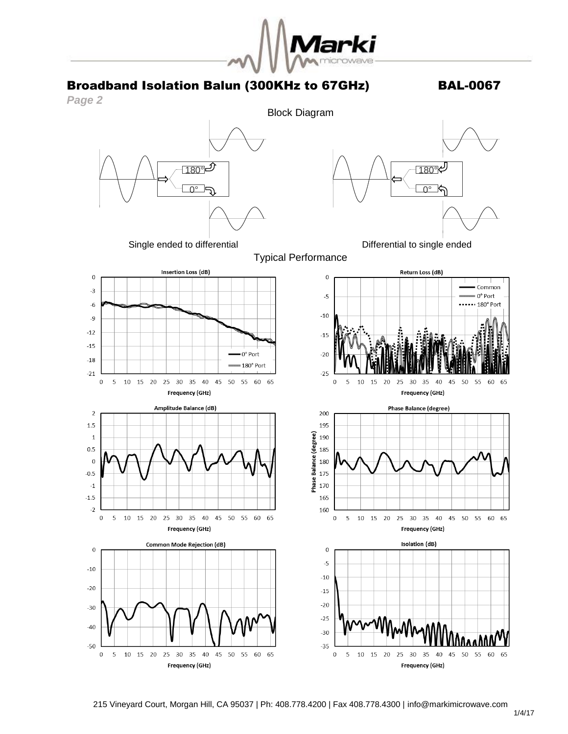

## Broadband Isolation Balun (300KHz to 67GHz) BAL-0067





5

Frequency (GHz)

65

Frequency (GHz)

 $\overline{0}$ 

65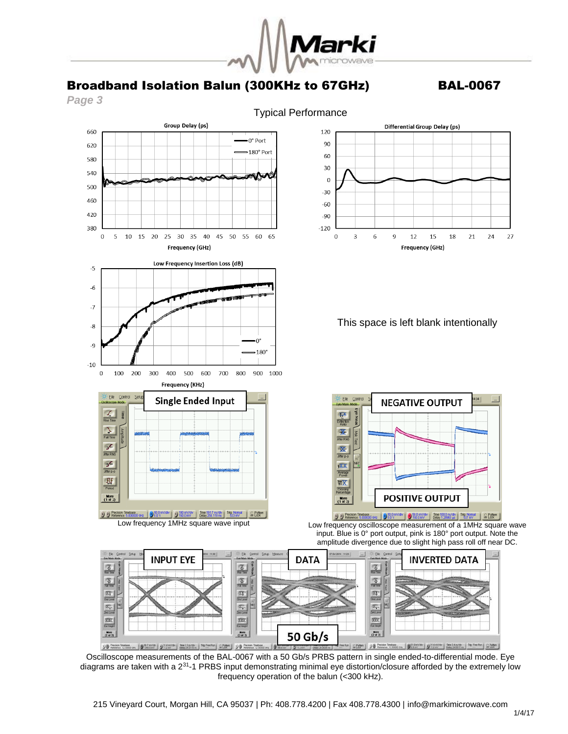

# Broadband Isolation Balun (300KHz to 67GHz) BAL-0067

*Page 3*



Oscilloscope measurements of the BAL-0067 with a 50 Gb/s PRBS pattern in single ended-to-differential mode. Eye diagrams are taken with a 2<sup>31</sup>-1 PRBS input demonstrating minimal eye distortion/closure afforded by the extremely low frequency operation of the balun (<300 kHz).